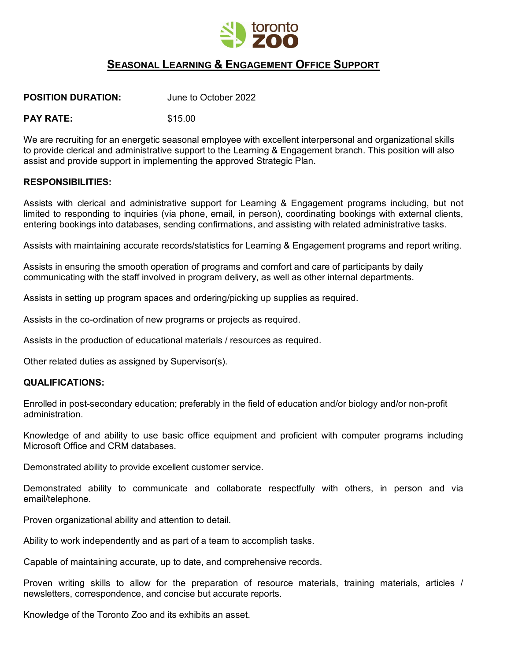

# **SEASONAL LEARNING & ENGAGEMENT OFFICE SUPPORT**

### **POSITION DURATION:** June to October 2022

### **PAY RATE:** \$15.00

We are recruiting for an energetic seasonal employee with excellent interpersonal and organizational skills to provide clerical and administrative support to the Learning & Engagement branch. This position will also assist and provide support in implementing the approved Strategic Plan.

#### **RESPONSIBILITIES:**

Assists with clerical and administrative support for Learning & Engagement programs including, but not limited to responding to inquiries (via phone, email, in person), coordinating bookings with external clients, entering bookings into databases, sending confirmations, and assisting with related administrative tasks.

Assists with maintaining accurate records/statistics for Learning & Engagement programs and report writing.

Assists in ensuring the smooth operation of programs and comfort and care of participants by daily communicating with the staff involved in program delivery, as well as other internal departments.

Assists in setting up program spaces and ordering/picking up supplies as required.

Assists in the co-ordination of new programs or projects as required.

Assists in the production of educational materials / resources as required.

Other related duties as assigned by Supervisor(s).

#### **QUALIFICATIONS:**

Enrolled in post-secondary education; preferably in the field of education and/or biology and/or non-profit administration.

Knowledge of and ability to use basic office equipment and proficient with computer programs including Microsoft Office and CRM databases.

Demonstrated ability to provide excellent customer service.

Demonstrated ability to communicate and collaborate respectfully with others, in person and via email/telephone.

Proven organizational ability and attention to detail.

Ability to work independently and as part of a team to accomplish tasks.

Capable of maintaining accurate, up to date, and comprehensive records.

Proven writing skills to allow for the preparation of resource materials, training materials, articles / newsletters, correspondence, and concise but accurate reports.

Knowledge of the Toronto Zoo and its exhibits an asset.